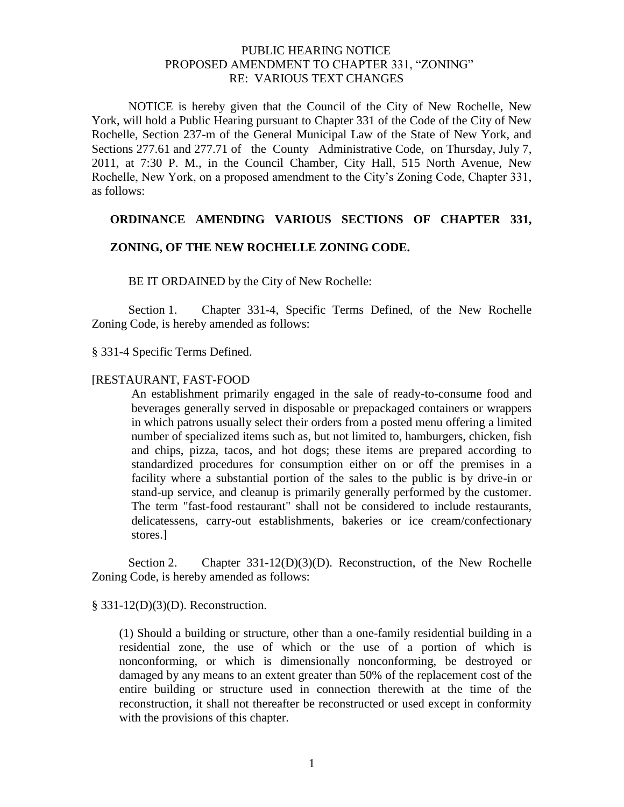# PUBLIC HEARING NOTICE PROPOSED AMENDMENT TO CHAPTER 331, "ZONING" RE: VARIOUS TEXT CHANGES

NOTICE is hereby given that the Council of the City of New Rochelle, New York, will hold a Public Hearing pursuant to Chapter 331 of the Code of the City of New Rochelle, Section 237-m of the General Municipal Law of the State of New York, and Sections 277.61 and 277.71 of the County Administrative Code, on Thursday, July 7, 2011, at 7:30 P. M., in the Council Chamber, City Hall, 515 North Avenue, New Rochelle, New York, on a proposed amendment to the City's Zoning Code, Chapter 331, as follows:

# **ORDINANCE AMENDING VARIOUS SECTIONS OF CHAPTER 331,**

## **ZONING, OF THE NEW ROCHELLE ZONING CODE.**

BE IT ORDAINED by the City of New Rochelle:

Section 1. Chapter 331-4, Specific Terms Defined, of the New Rochelle Zoning Code, is hereby amended as follows:

§ 331-4 Specific Terms Defined.

### [RESTAURANT, FAST-FOOD

An establishment primarily engaged in the sale of ready-to-consume food and beverages generally served in disposable or prepackaged containers or wrappers in which patrons usually select their orders from a posted menu offering a limited number of specialized items such as, but not limited to, hamburgers, chicken, fish and chips, pizza, tacos, and hot dogs; these items are prepared according to standardized procedures for consumption either on or off the premises in a facility where a substantial portion of the sales to the public is by drive-in or stand-up service, and cleanup is primarily generally performed by the customer. The term "fast-food restaurant" shall not be considered to include restaurants, delicatessens, carry-out establishments, bakeries or ice cream/confectionary stores.]

Section 2. Chapter 331-12(D)(3)(D). Reconstruction, of the New Rochelle Zoning Code, is hereby amended as follows:

## § 331-12(D)(3)(D). Reconstruction.

(1) Should a building or structure, other than a one-family residential building in a residential zone, the use of which or the use of a portion of which is nonconforming, or which is dimensionally nonconforming, be destroyed or damaged by any means to an extent greater than 50% of the replacement cost of the entire building or structure used in connection therewith at the time of the reconstruction, it shall not thereafter be reconstructed or used except in conformity with the provisions of this chapter.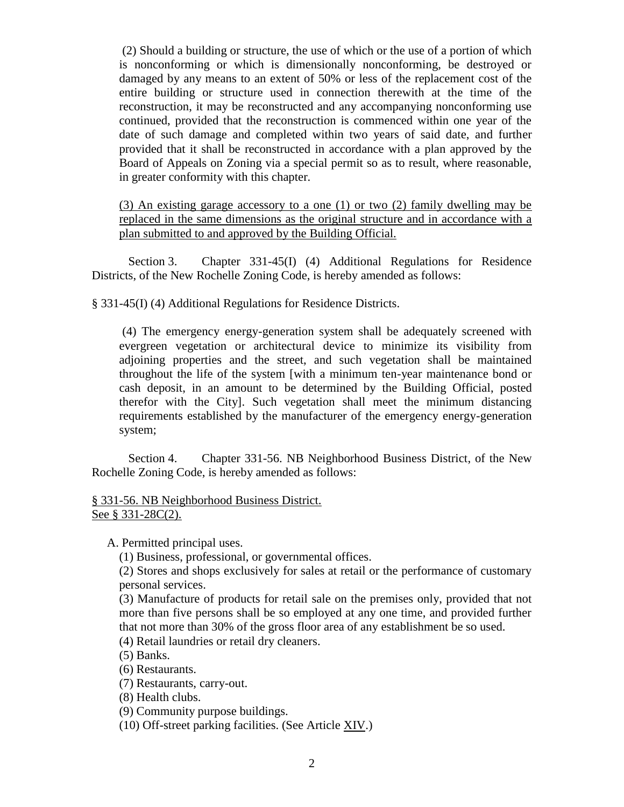(2) Should a building or structure, the use of which or the use of a portion of which is nonconforming or which is dimensionally nonconforming, be destroyed or damaged by any means to an extent of 50% or less of the replacement cost of the entire building or structure used in connection therewith at the time of the reconstruction, it may be reconstructed and any accompanying nonconforming use continued, provided that the reconstruction is commenced within one year of the date of such damage and completed within two years of said date, and further provided that it shall be reconstructed in accordance with a plan approved by the Board of Appeals on Zoning via a special permit so as to result, where reasonable, in greater conformity with this chapter.

(3) An existing garage accessory to a one (1) or two (2) family dwelling may be replaced in the same dimensions as the original structure and in accordance with a plan submitted to and approved by the Building Official.

Section 3. Chapter 331-45(I) (4) Additional Regulations for Residence Districts, of the New Rochelle Zoning Code, is hereby amended as follows:

§ 331-45(I) (4) Additional Regulations for Residence Districts.

(4) The emergency energy-generation system shall be adequately screened with evergreen vegetation or architectural device to minimize its visibility from adjoining properties and the street, and such vegetation shall be maintained throughout the life of the system [with a minimum ten-year maintenance bond or cash deposit, in an amount to be determined by the Building Official, posted therefor with the City]. Such vegetation shall meet the minimum distancing requirements established by the manufacturer of the emergency energy-generation system;

Section 4. Chapter 331-56. NB Neighborhood Business District, of the New Rochelle Zoning Code, is hereby amended as follows:

§ [331-56. NB Neighborhood Business District.](http://www.ecode360.com/ecode3-back/getSimple.jsp?custId=NE0964&guid=6730843) See § [331-28C\(2\).](http://www.ecode360.com/ecode3-back/getSimple.jsp?guid=6729957#6729957)

A. Permitted principal uses.

(1) Business, professional, or governmental offices.

(2) Stores and shops exclusively for sales at retail or the performance of customary personal services.

(3) Manufacture of products for retail sale on the premises only, provided that not more than five persons shall be so employed at any one time, and provided further that not more than 30% of the gross floor area of any establishment be so used.

(4) Retail laundries or retail dry cleaners.

(5) Banks.

(6) Restaurants.

(7) Restaurants, carry-out.

(8) Health clubs.

(9) Community purpose buildings.

(10) Off-street parking facilities. (See Article [XIV.](http://www.ecode360.com/ecode3-back/getSimple.jsp?guid=6732369#6732369))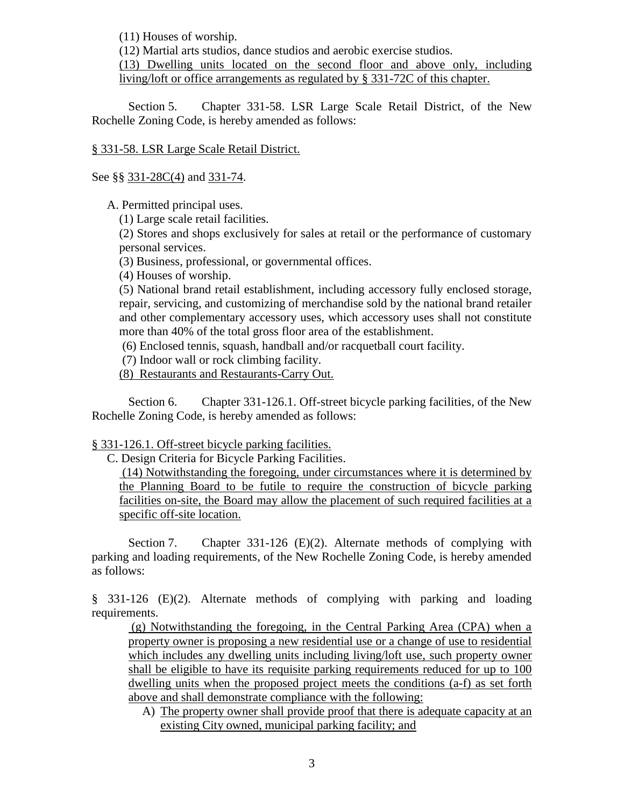(11) Houses of worship.

(12) Martial arts studios, dance studios and aerobic exercise studios.

(13) Dwelling units located on the second floor and above only, including living/loft or office arrangements as regulated by § 331-72C of this chapter.

Section 5. Chapter 331-58. LSR Large Scale Retail District, of the New Rochelle Zoning Code, is hereby amended as follows:

§ [331-58. LSR Large Scale Retail District.](http://www.ecode360.com/ecode3-back/getSimple.jsp?custId=NE0964&guid=6730951)

See §§ [331-28C\(4\)](http://www.ecode360.com/ecode3-back/getSimple.jsp?guid=6729959#6729959) and [331-74.](http://www.ecode360.com/ecode3-back/getSimple.jsp?guid=6731198#6731198)

A. Permitted principal uses.

(1) Large scale retail facilities.

(2) Stores and shops exclusively for sales at retail or the performance of customary personal services.

(3) Business, professional, or governmental offices.

(4) Houses of worship.

(5) National brand retail establishment, including accessory fully enclosed storage, repair, servicing, and customizing of merchandise sold by the national brand retailer and other complementary accessory uses, which accessory uses shall not constitute more than 40% of the total gross floor area of the establishment.

(6) Enclosed tennis, squash, handball and/or racquetball court facility.

(7) Indoor wall or rock climbing facility.

(8) Restaurants and Restaurants-Carry Out.

Section 6. Chapter 331-126.1. Off-street bicycle parking facilities, of the New Rochelle Zoning Code, is hereby amended as follows:

§ [331-126.1. Off-street bicycle parking facilities.](http://www.ecode360.com/ecode3-back/getSimple.jsp?custId=NE0964&guid=13660259)

C. Design Criteria for Bicycle Parking Facilities.

(14) Notwithstanding the foregoing, under circumstances where it is determined by the Planning Board to be futile to require the construction of bicycle parking facilities on-site, the Board may allow the placement of such required facilities at a specific off-site location.

Section 7. Chapter 331-126 (E)(2). Alternate methods of complying with parking and loading requirements, of the New Rochelle Zoning Code, is hereby amended as follows:

§ 331-126 (E)(2). Alternate methods of complying with parking and loading requirements.

(g) Notwithstanding the foregoing, in the Central Parking Area (CPA) when a property owner is proposing a new residential use or a change of use to residential which includes any dwelling units including living/loft use, such property owner shall be eligible to have its requisite parking requirements reduced for up to 100 dwelling units when the proposed project meets the conditions (a-f) as set forth above and shall demonstrate compliance with the following:

A) The property owner shall provide proof that there is adequate capacity at an existing City owned, municipal parking facility; and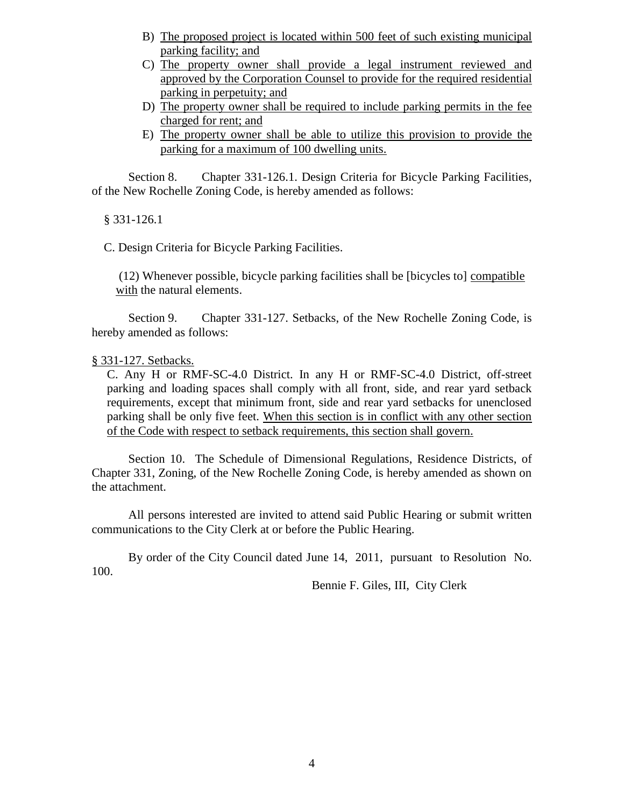- B) The proposed project is located within 500 feet of such existing municipal parking facility; and
- C) The property owner shall provide a legal instrument reviewed and approved by the Corporation Counsel to provide for the required residential parking in perpetuity; and
- D) The property owner shall be required to include parking permits in the fee charged for rent; and
- E) The property owner shall be able to utilize this provision to provide the parking for a maximum of 100 dwelling units.

Section 8. Chapter 331-126.1. Design Criteria for Bicycle Parking Facilities, of the New Rochelle Zoning Code, is hereby amended as follows:

§ 331-126.1

C. Design Criteria for Bicycle Parking Facilities.

(12) Whenever possible, bicycle parking facilities shall be [bicycles to] compatible with the natural elements.

Section 9. Chapter 331-127. Setbacks, of the New Rochelle Zoning Code, is hereby amended as follows:

§ [331-127. Setbacks.](http://www.ecode360.com/ecode3-back/getSimple.jsp?custId=NE0964&guid=6732412)

C. Any H or RMF-SC-4.0 District. In any H or RMF-SC-4.0 District, off-street parking and loading spaces shall comply with all front, side, and rear yard setback requirements, except that minimum front, side and rear yard setbacks for unenclosed parking shall be only five feet. When this section is in conflict with any other section of the Code with respect to setback requirements, this section shall govern.

Section 10. The Schedule of Dimensional Regulations, Residence Districts, of Chapter 331, Zoning, of the New Rochelle Zoning Code, is hereby amended as shown on the attachment.

All persons interested are invited to attend said Public Hearing or submit written communications to the City Clerk at or before the Public Hearing.

By order of the City Council dated June 14, 2011, pursuant to Resolution No. 100.

Bennie F. Giles, III, City Clerk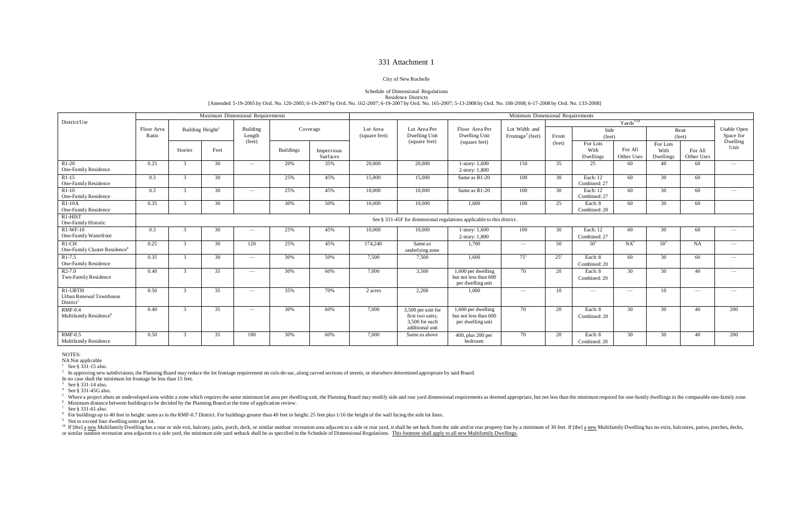#### 331 Attachment 1

#### City of New Rochelle

Schedule of Dimensional Regulations Residence Districts

[Amended 5-19-2005 by Ord. No. 120-2005; 6-19-2007 by Ord. No. 162-2007; 6-19-2007 by Ord. No. 165-2007; 5-13-2008 by Ord. No. 108-2008; 6-17-2008 by Ord. No. 133-2008]

|                                           |            |                              |      | Maximum Dimensional Requirements |                  |            | Minimum Dimensional Requirements |                                    |                                                                        |                                               |          |                                 |                          |                 |            |                                 |
|-------------------------------------------|------------|------------------------------|------|----------------------------------|------------------|------------|----------------------------------|------------------------------------|------------------------------------------------------------------------|-----------------------------------------------|----------|---------------------------------|--------------------------|-----------------|------------|---------------------------------|
| District/Use                              |            |                              |      |                                  |                  |            |                                  | Yards <sup>3.10</sup>              |                                                                        |                                               |          |                                 |                          |                 |            |                                 |
|                                           | Floor Area | Building Height <sup>1</sup> |      | Building                         | Coverage         |            | Lot Area<br>(square feet)        | Lot Area Per<br>Dwelling Unit      | Floor Area Per<br>Dwelling Unit                                        | Lot Width and<br>Frontage <sup>2</sup> (feet) |          | Side<br>(feet)                  |                          | Rear<br>(feet)  |            | Usable Open<br>Space for        |
|                                           | Ratio      |                              |      | Length                           |                  |            |                                  |                                    |                                                                        |                                               | Front    |                                 |                          |                 |            |                                 |
|                                           |            |                              |      | (feet)                           |                  |            |                                  | (square feet)                      | (square feet)                                                          |                                               | (feet)   | For Lots                        |                          | For Lots        |            | Dwelling<br>Unit                |
|                                           |            | Stories                      | Feet |                                  | <b>Buildings</b> | Impervious |                                  |                                    |                                                                        |                                               |          | With                            | For All                  | With            | For All    |                                 |
|                                           |            |                              |      |                                  |                  | Surfaces   |                                  |                                    |                                                                        |                                               |          | Dwellings                       | Other Uses               | Dwellings       | Other Uses |                                 |
| $R1-20$                                   | 0.25       | $\mathcal{R}$                | 30   | $\overline{\phantom{a}}$         | 20%              | 35%        | 20,000                           | 20,000                             | 1-story: 1,600                                                         | 150                                           | 35       | 25                              | 60                       | 40              | 60         | $\hspace{0.1mm}-\hspace{0.1mm}$ |
| One-Family Residence                      |            |                              |      |                                  |                  |            |                                  |                                    | 2-story: 1,800                                                         |                                               |          |                                 |                          |                 |            |                                 |
| R <sub>1</sub> -15                        | 0.3        | $\mathcal{R}$                | 30   |                                  | 25%              | 45%        | 15,000                           | 15,000                             | Same as R1-20                                                          | 100                                           | 30       | Each: 12                        | 60                       | 30              | 60         |                                 |
| One-Family Residence                      |            |                              |      |                                  |                  |            |                                  |                                    |                                                                        |                                               |          | Combined: 27                    |                          |                 |            |                                 |
| $R1-10$                                   | 0.3        | $\mathcal{R}$                | 30   | $\overline{\phantom{a}}$         | 25%              | 45%        | 10,000                           | 10,000                             | Same as R1-20                                                          | 100                                           | 30       | Each: 12                        | 60                       | 30              | 60         |                                 |
| One-Family Residence                      |            |                              |      |                                  |                  |            |                                  |                                    |                                                                        |                                               |          | Combined: 27                    |                          |                 |            |                                 |
| $R1-10A$                                  | 0.35       | $\mathcal{R}$                | 30   |                                  | 30%              | 50%        | 10,000                           | 10,000                             | 1,600                                                                  | 100                                           | 25       | Each: 8                         | 60                       | 30              | 60         |                                 |
| One-Family Residence                      |            |                              |      |                                  |                  |            |                                  |                                    |                                                                        |                                               |          | Combined: 20                    |                          |                 |            |                                 |
| $R1-HIST$                                 |            |                              |      |                                  |                  |            |                                  |                                    | See § 331-45F for dimensional regulations applicable to this district. |                                               |          |                                 |                          |                 |            |                                 |
| One-Family Historic                       |            |                              |      |                                  |                  |            |                                  |                                    |                                                                        |                                               |          |                                 |                          |                 |            |                                 |
| $R1-WF-10$                                | 0.3        |                              | 30   | $\overline{\phantom{m}}$         | 25%              | 45%        | 10,000                           | 10,000                             | 1-story: $1,600$                                                       | 100                                           | 30       | Each: 12                        | 60                       | 30              | 60         |                                 |
| One-Family Waterfront                     |            |                              |      |                                  |                  |            |                                  |                                    | 2-story: 1,800                                                         |                                               |          | Combined: 27                    |                          |                 |            |                                 |
| $R1$ -CH                                  | 0.25       |                              | 30   | 120                              | 25%              | 45%        | 174,240                          | Same as                            | 1,700                                                                  | $\overline{\phantom{m}}$                      | 50       | $50^{5}$                        | NA <sup>6</sup>          | 50 <sup>5</sup> | NA         |                                 |
| One-Family Cluster Residence <sup>4</sup> |            |                              |      |                                  |                  |            |                                  | underlying zone                    |                                                                        |                                               |          |                                 |                          |                 |            |                                 |
| R <sub>1</sub> -7.5                       | 0.35       | $\mathcal{R}$                | 30   |                                  | 30%              | 50%        | 7.500                            | 7.500                              | 1.600                                                                  | $75^1$                                        | $25^{1}$ | Each: 8                         | 60                       | 30              | 60         | $\hspace{0.1mm}-\hspace{0.1mm}$ |
| One-Family Residence                      |            |                              |      |                                  |                  |            |                                  |                                    |                                                                        |                                               |          | Combined: 20                    |                          |                 |            |                                 |
| $R2-7.0$                                  | 0.40       | $\mathcal{R}$                | 35   | $\overline{\phantom{a}}$         | 30%              | 60%        | 7,000                            | 3,500                              | 1,600 per dwelling                                                     | 70                                            | 20       | Each: 8                         | 30                       | 30              | 40         |                                 |
| Two-Family Residence                      |            |                              |      |                                  |                  |            |                                  |                                    | but not less than 600                                                  |                                               |          | Combined: 20                    |                          |                 |            |                                 |
|                                           |            |                              |      |                                  |                  |            |                                  |                                    | per dwelling unit                                                      |                                               |          |                                 |                          |                 |            |                                 |
| R1-URTH                                   | 0.50       | $\mathcal{R}$                | 35   | $\overline{\phantom{a}}$         | 35%              | 70%        | 2 acres                          | 2,200                              | 1,000                                                                  | $\overline{\phantom{a}}$                      | 10       | $\hspace{0.1mm}-\hspace{0.1mm}$ | $\overline{\phantom{m}}$ | 10              |            | $\hspace{0.1mm}-\hspace{0.1mm}$ |
| <b>Urban Renewal Townhouse</b>            |            |                              |      |                                  |                  |            |                                  |                                    |                                                                        |                                               |          |                                 |                          |                 |            |                                 |
| $District^7$                              |            |                              |      |                                  |                  |            |                                  |                                    |                                                                        |                                               |          |                                 |                          |                 |            |                                 |
| <b>RMF-0.4</b>                            | 0.40       | $\mathcal{R}$                | 35   | $\overline{\phantom{0}}$         | 30%              | 60%        | 7,000                            | $\overline{3,500}$ per unit for    | 1,600 per dwelling                                                     | 70                                            | 20       | Each: 8                         | 30                       | 30              | 40         | 200                             |
| Multifamily Residence <sup>9</sup>        |            |                              |      |                                  |                  |            |                                  | first two units:<br>3.500 for each | but not less than 600<br>per dwelling unit                             |                                               |          | Combined: 20                    |                          |                 |            |                                 |
|                                           |            |                              |      |                                  |                  |            |                                  | additional unit                    |                                                                        |                                               |          |                                 |                          |                 |            |                                 |
| $RMF-0.5$                                 | 0.50       | $\mathcal{R}$                | 35   | 180                              | 30%              | 60%        | 7,000                            | Same as above                      | 400, plus 200 per                                                      | 70                                            | 20       | Each: 8                         | 30                       | 30              | 40         | 200                             |
| <b>Multifamily Residence</b>              |            |                              |      |                                  |                  |            |                                  |                                    | bedroom                                                                |                                               |          | Combined: 20                    |                          |                 |            |                                 |
|                                           |            |                              |      |                                  |                  |            |                                  |                                    |                                                                        |                                               |          |                                 |                          |                 |            |                                 |

NOTES:

NA Not applicable

<sup>1</sup> See §  $\frac{331-15}{2}$  also.

In approving new subdivisions, the Planning Board may reduce the lot frontage requirement on culs-de-sac, along curved sections of streets, or elsewhere determined appropriate by said Board.

In no case shall the minimum lot frontage be less than 15 feet.

See § 331-14 also.

 $^{4}$  See § 331-45G also.

Where a project abuts an undeveloped area within a zone which requires the same minimum lot area per dwelling unit, the Planning Board may modify side and rear yard dimensional requirements as deemed appropriate, but not l  $6$  Minimum distance between buildings to be decided by the Planning Board at the time of application review.

See § 331-61 also.

<sup>8</sup> For buildings up to 40 feet in height: same as in the RMF-0.7 District. For buildings greater than 40 feet in height: 25 feet plus 1/16 the height of the wall facing the side lot lines.

<sup>9</sup> Not to exceed four dwelling units per lot.

<sup>10</sup> If (the] a new Multifamily Dwelling has a rear or side exit, balcony, patio, porch, deck, or similar outdoor recreation area adjacent to a side or rear yard, it shall be set back from the side and/or rear property lin or similar outdoor recreation area adjacent to a side yard, the minimum side yard setback shall be as specified in the Schedule of Dimensional Regulations. This footnote shall apply to all new Multifamily Dwellings.